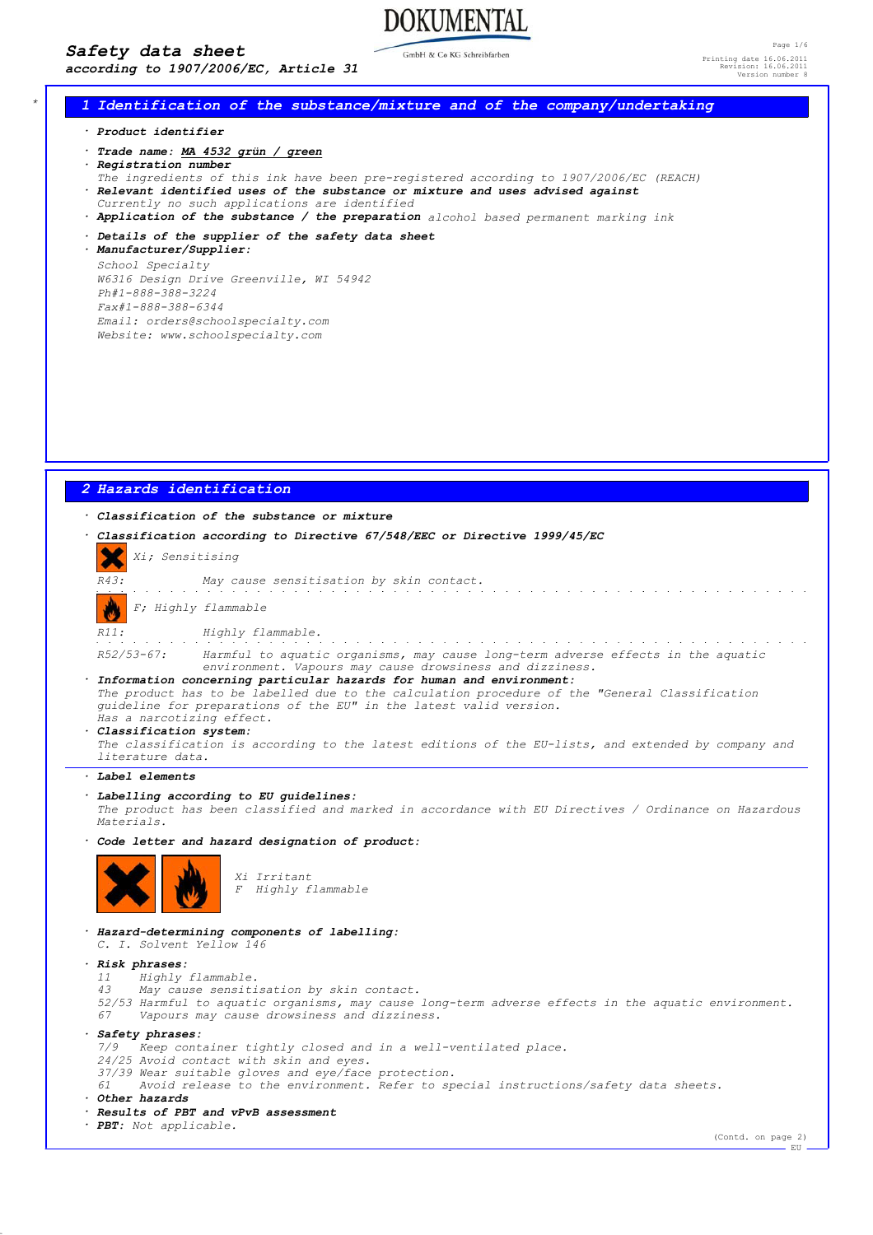# *Safety data sheet*

*according to 1907/2006/EC, Article 31*

GmbH & Co KG Schreibfarber

**DOKUMENTAL** 

Page 1/6 Printing date 16.06.2011 Revision: 16.06.2011 Version number 8

## *\* 1 Identification of the substance/mixture and of the company/undertaking*

*· Product identifier*

- *· Trade name: MA 4532 grün / green*
- *· Registration number*
- *The ingredients of this ink have been pre-registered according to 1907/2006/EC (REACH)*
- *· Relevant identified uses of the substance or mixture and uses advised against*
- *Currently no such applications are identified*
- *· Application of the substance / the preparation alcohol based permanent marking ink*
- *· Details of the supplier of the safety data sheet*

*· Manufacturer/Supplier: School Specialty W6316 Design Drive Greenville, WI 54942 Ph#1-888-388-3224 Fax#1-888-388-6344 Email: orders@schoolspecialty.com Website: www.schoolspecialty.com*

## *2 Hazards identification*

# *· Classification of the substance or mixture*

*· Classification according to Directive 67/548/EEC or Directive 1999/45/EC Xi; Sensitising R43: May cause sensitisation by skin contact. F; Highly flammable R11: Highly flammable. R52/53-67: Harmful to aquatic organisms, may cause long-term adverse effects in the aquatic environment. Vapours may cause drowsiness and dizziness. · Information concerning particular hazards for human and environment: The product has to be labelled due to the calculation procedure of the "General Classification guideline for preparations of the EU" in the latest valid version. Has a narcotizing effect. · Classification system: The classification is according to the latest editions of the EU-lists, and extended by company and literature data. · Label elements*

## *· Labelling according to EU guidelines:*

*The product has been classified and marked in accordance with EU Directives / Ordinance on Hazardous Materials.*

*· Code letter and hazard designation of product:*



*Xi Irritant F Highly flammable*

*· Hazard-determining components of labelling: C. I. Solvent Yellow 146*

- *· Risk phrases:*
	- *11 Highly flammable. 43 May cause sensitisation by skin contact.*
- *52/53 Harmful to aquatic organisms, may cause long-term adverse effects in the aquatic environment. 67 Vapours may cause drowsiness and dizziness.*
- *· Safety phrases:*

*7/9 Keep container tightly closed and in a well-ventilated place.*

*24/25 Avoid contact with skin and eyes.*

*37/39 Wear suitable gloves and eye/face protection.*

*61 Avoid release to the environment. Refer to special instructions/safety data sheets.*

*· Other hazards*

#### *· Results of PBT and vPvB assessment*

*· PBT: Not applicable.*

(Contd. on page 2) EU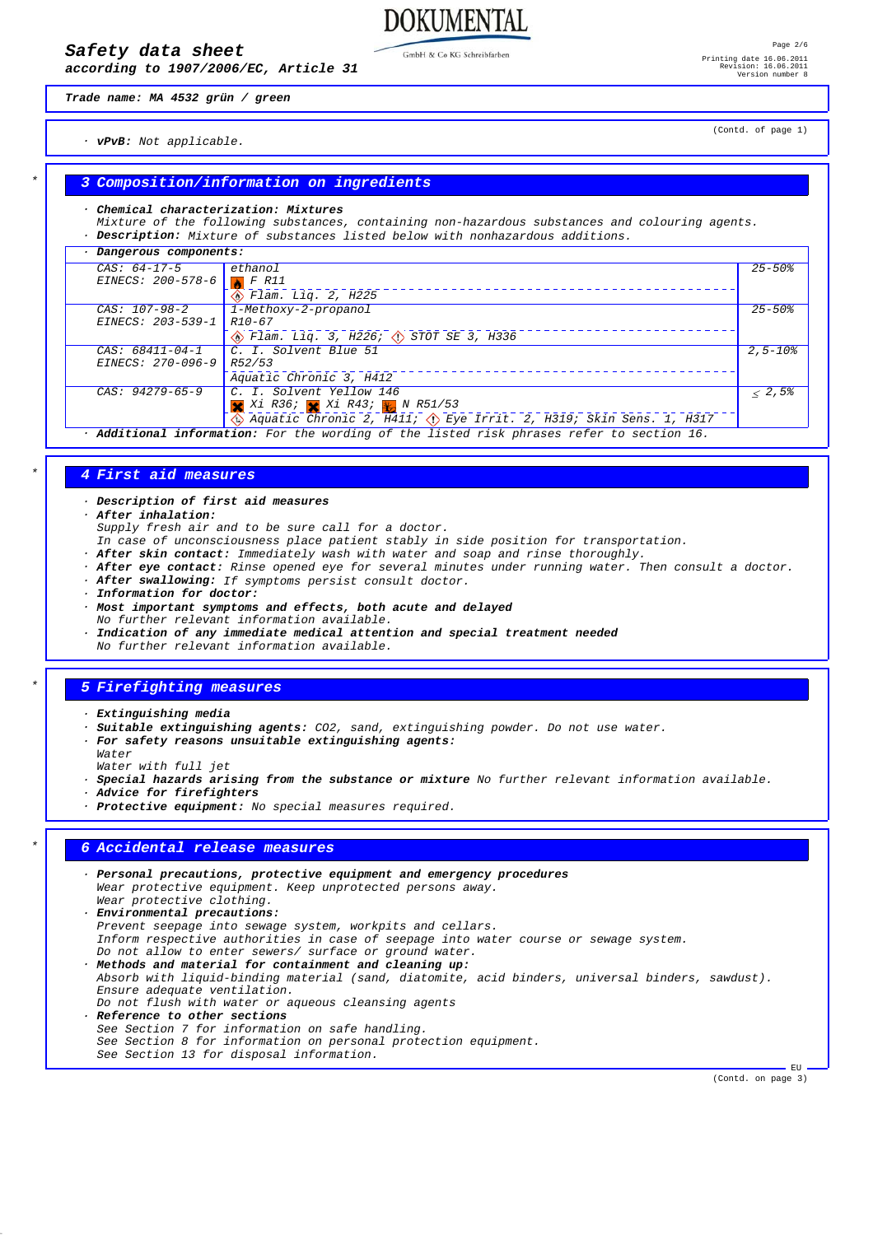*according to 1907/2006/EC, Article 31*

GmbH & Co KG Schreibfarben

**DOKUMENTAL** 

*Trade name: MA 4532 grün / green*

(Contd. of page 1)

*· vPvB: Not applicable.*

## *\* 3 Composition/information on ingredients*

#### *· Chemical characterization: Mixtures*

*Mixture of the following substances, containing non-hazardous substances and colouring agents. · Description: Mixture of substances listed below with nonhazardous additions.*

| Dangerous components: |                                                                                           |                        |
|-----------------------|-------------------------------------------------------------------------------------------|------------------------|
| $CAS: 64-17-5$        | ethano1                                                                                   | $25 - 50$ <sup>8</sup> |
| EINECS: 200-578-6     | F R11                                                                                     |                        |
|                       | $\circledR$ Flam. Lig. 2, H225                                                            |                        |
| $CAS: 107-98-2$       | 1-Methoxy-2-propanol                                                                      | $25 - 50%$             |
| EINECS: 203-539-1     | $R10 - 67$                                                                                |                        |
|                       | $\circledcirc$ Flam. Liq. 3, H226; $\circledcirc$ STOT SE 3, H336                         |                        |
| $CAS: 68411 - 04 - 1$ | C. I. Solvent Blue 51                                                                     | $2.5 - 108$            |
| EINECS: 270-096-9     | R52/53                                                                                    |                        |
|                       | Aquatic Chronic 3, H412                                                                   |                        |
| $CAS: 94279-65-9$     | C. I. Solvent Yellow 146                                                                  | < 2,5                  |
|                       | X Xi R36; X Xi R43; X N R51/53                                                            |                        |
|                       | Aquatic Chronic 2, H411; $\Diamond$ Eye Irrit. 2, H319; Skin Sens. 1, H317                |                        |
|                       | . Additional information: For the wording of the listed risk phrases refer to section 16. |                        |

*\* 4 First aid measures*

*· Description of first aid measures*

- *· After inhalation:*
	- *Supply fresh air and to be sure call for a doctor.*
- *In case of unconsciousness place patient stably in side position for transportation.*
- *· After skin contact: Immediately wash with water and soap and rinse thoroughly.*
- *· After eye contact: Rinse opened eye for several minutes under running water. Then consult a doctor.*
- *· After swallowing: If symptoms persist consult doctor.*
- *· Information for doctor:*
- *· Most important symptoms and effects, both acute and delayed*
- *No further relevant information available.*
- Indication of any immediate medical attention and special treatment needed

# *No further relevant information available.*

# *\* 5 Firefighting measures*

- *· Extinguishing media*
- *· Suitable extinguishing agents: CO2, sand, extinguishing powder. Do not use water.*
- *· For safety reasons unsuitable extinguishing agents:*
- *Water*
- *Water with full jet*
- *· Special hazards arising from the substance or mixture No further relevant information available.*
- *· Advice for firefighters*
- *· Protective equipment: No special measures required.*

# *\* 6 Accidental release measures*

- *· Personal precautions, protective equipment and emergency procedures Wear protective equipment. Keep unprotected persons away. Wear protective clothing. · Environmental precautions: Prevent seepage into sewage system, workpits and cellars. Inform respective authorities in case of seepage into water course or sewage system. Do not allow to enter sewers/ surface or ground water. · Methods and material for containment and cleaning up: Absorb with liquid-binding material (sand, diatomite, acid binders, universal binders, sawdust). Ensure adequate ventilation. Do not flush with water or aqueous cleansing agents · Reference to other sections See Section 7 for information on safe handling.*
- *See Section 8 for information on personal protection equipment. See Section 13 for disposal information.*

(Contd. on page 3)

**EU**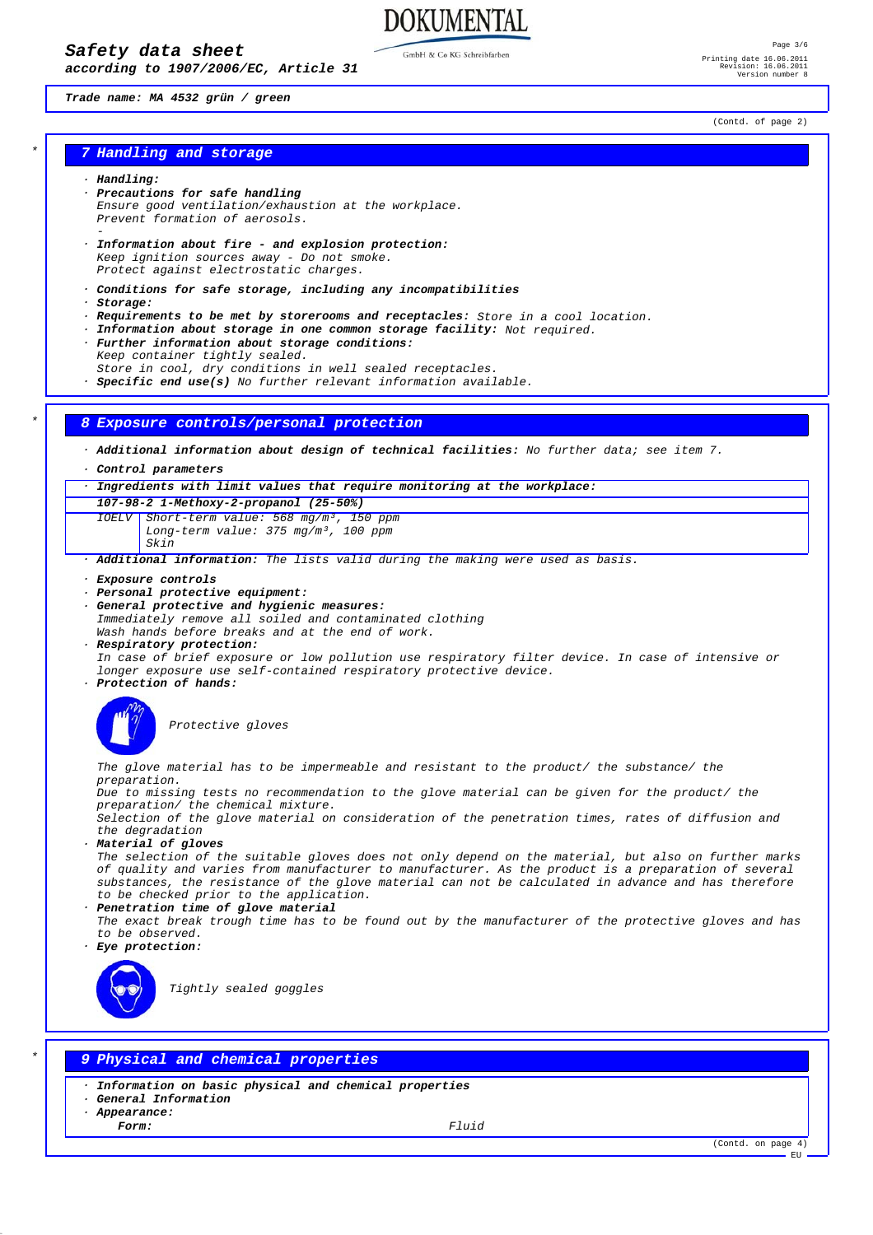*according to 1907/2006/EC, Article 31*

GmbH & Co KG Schreibfarber

**DOKUMENTAL** 

### *Trade name: MA 4532 grün / green*

(Contd. of page 2)

# *\* 7 Handling and storage*

#### *· Handling:*

- *· Precautions for safe handling Ensure good ventilation/exhaustion at the workplace. Prevent formation of aerosols. -*
- *· Information about fire and explosion protection: Keep ignition sources away - Do not smoke. Protect against electrostatic charges.*
- *· Conditions for safe storage, including any incompatibilities*
- *· Storage:*
- *· Requirements to be met by storerooms and receptacles: Store in a cool location.*
- *· Information about storage in one common storage facility: Not required.*
- *· Further information about storage conditions: Keep container tightly sealed. Store in cool, dry conditions in well sealed receptacles.*
- *· Specific end use(s) No further relevant information available.*

## *\* 8 Exposure controls/personal protection*

*· Additional information about design of technical facilities: No further data; see item 7.*

*· Control parameters*

*· Ingredients with limit values that require monitoring at the workplace:*

*107-98-2 1-Methoxy-2-propanol (25-50%) IOELV Short-term value: 568 mg/m³, 150 ppm Long-term value: 375 mg/m³, 100 ppm*

*Skin*

*· Additional information: The lists valid during the making were used as basis.*

- *· Exposure controls*
- *· Personal protective equipment:*
- *· General protective and hygienic measures:*

*Immediately remove all soiled and contaminated clothing Wash hands before breaks and at the end of work.*

- *· Respiratory protection:*
- *In case of brief exposure or low pollution use respiratory filter device. In case of intensive or longer exposure use self-contained respiratory protective device.*
- *· Protection of hands:*



*Protective gloves*

*The glove material has to be impermeable and resistant to the product/ the substance/ the preparation.*

*Due to missing tests no recommendation to the glove material can be given for the product/ the preparation/ the chemical mixture.*

*Selection of the glove material on consideration of the penetration times, rates of diffusion and the degradation*

*· Material of gloves*

*The selection of the suitable gloves does not only depend on the material, but also on further marks of quality and varies from manufacturer to manufacturer. As the product is a preparation of several substances, the resistance of the glove material can not be calculated in advance and has therefore to be checked prior to the application.*

- *· Penetration time of glove material*
- *The exact break trough time has to be found out by the manufacturer of the protective gloves and has to be observed.*
- *· Eye protection:*



*Tightly sealed goggles*

# *\* 9 Physical and chemical properties*

- *· Information on basic physical and chemical properties*
- *· General Information*
- *· Appearance:*

*Form: Fluid*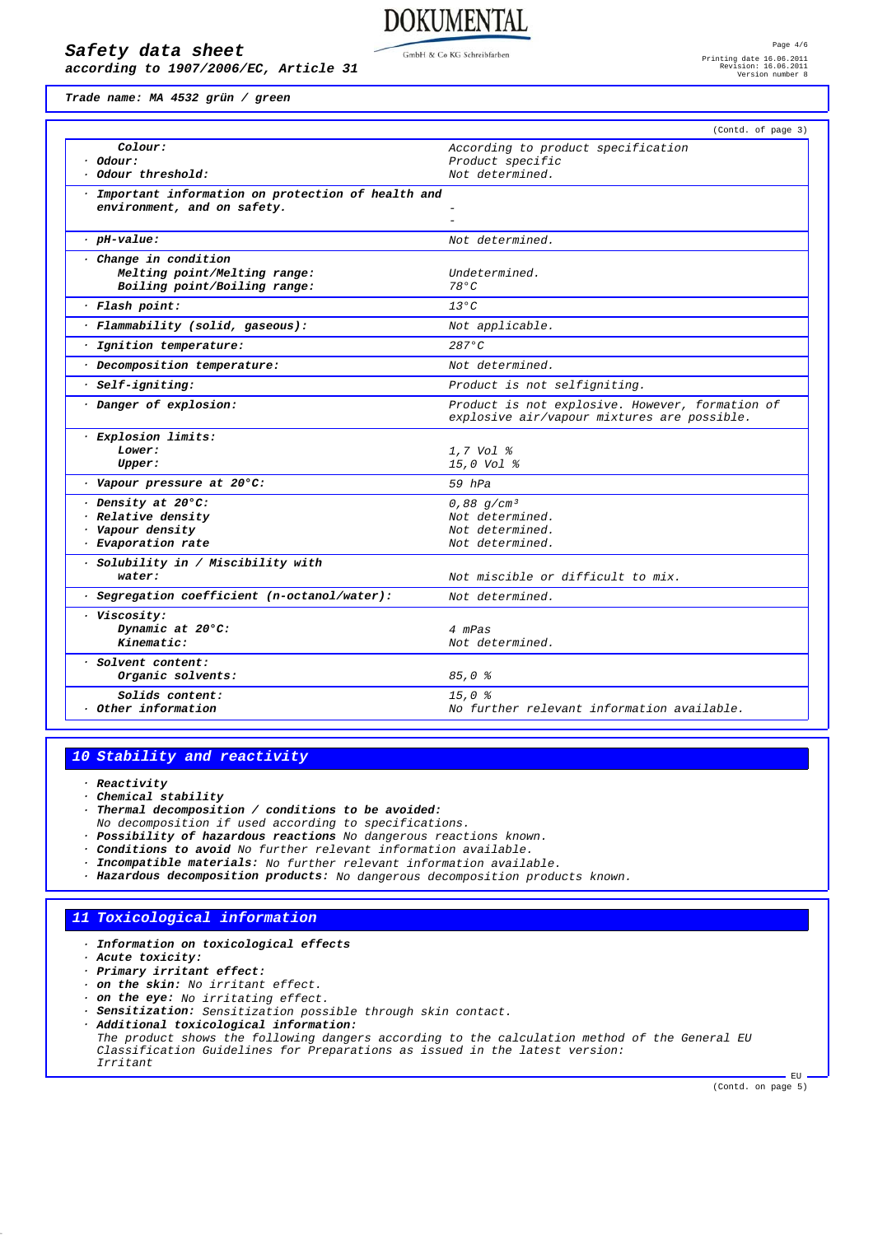# *Safety data sheet*

*according to 1907/2006/EC, Article 31*

**DOKUMENTAL** 

*Trade name: MA 4532 grün / green*

|                                                     | (Contd. of page 3)                                                                             |
|-----------------------------------------------------|------------------------------------------------------------------------------------------------|
| Colour:                                             | According to product specification                                                             |
| · Odour:<br>Odour threshold:                        | Product specific<br>Not determined.                                                            |
|                                                     |                                                                                                |
| · Important information on protection of health and |                                                                                                |
| environment, and on safety.                         |                                                                                                |
| $.$ $pi$ -value:                                    | Not determined.                                                                                |
| · Change in condition                               |                                                                                                |
| Melting point/Melting range:                        | Undetermined.                                                                                  |
| Boiling point/Boiling range:                        | 780C                                                                                           |
| · Flash point:                                      | $13^{\circ}C$                                                                                  |
| · Flammability (solid, gaseous):                    | Not applicable.                                                                                |
| · Ignition temperature:                             | $287$ °C                                                                                       |
| · Decomposition temperature:                        | Not determined.                                                                                |
| · Self-igniting:                                    | Product is not selfigniting.                                                                   |
| Danger of explosion:                                | Product is not explosive. However, formation of<br>explosive air/vapour mixtures are possible. |
| · Explosion limits:                                 |                                                                                                |
| Lower:                                              | 1.7 Vol %                                                                                      |
| Upper:                                              | 15,0 Vol %                                                                                     |
| · Vapour pressure at 20°C:                          | $59$ $hPa$                                                                                     |
| Density at 20°C:                                    | 0,88 $q/cm^3$                                                                                  |
| · Relative density                                  | Not determined.                                                                                |
| · Vapour density<br>· Evaporation rate              | Not determined.<br>Not determined.                                                             |
|                                                     |                                                                                                |
| · Solubility in / Miscibility with<br>water:        | Not miscible or difficult to mix.                                                              |
| · Segregation coefficient (n-octanol/water):        | Not determined.                                                                                |
| · Viscosity:                                        |                                                                                                |
| Dynamic at 20°C:                                    | 4 mPas                                                                                         |
| Kinematic:                                          | Not determined.                                                                                |
| · Solvent content:                                  |                                                                                                |
| Organic solvents:                                   | $85,0$ %                                                                                       |
| Solids content:                                     | 15.0%                                                                                          |
| Other information                                   | No further relevant information available.                                                     |

## *10 Stability and reactivity*

*· Reactivity*

- *· Chemical stability*
- *· Thermal decomposition / conditions to be avoided:*
- *No decomposition if used according to specifications.*
- *· Possibility of hazardous reactions No dangerous reactions known.*
- *· Conditions to avoid No further relevant information available.*
- *· Incompatible materials: No further relevant information available.*
- *· Hazardous decomposition products: No dangerous decomposition products known.*

# *11 Toxicological information*

- *· Information on toxicological effects*
- *· Acute toxicity:*
- *· Primary irritant effect:*
- *· on the skin: No irritant effect.*
- *· on the eye: No irritating effect.*
- *· Sensitization: Sensitization possible through skin contact.*
- *· Additional toxicological information: The product shows the following dangers according to the calculation method of the General EU Classification Guidelines for Preparations as issued in the latest version: Irritant*

(Contd. on page 5)

 $-$  EU.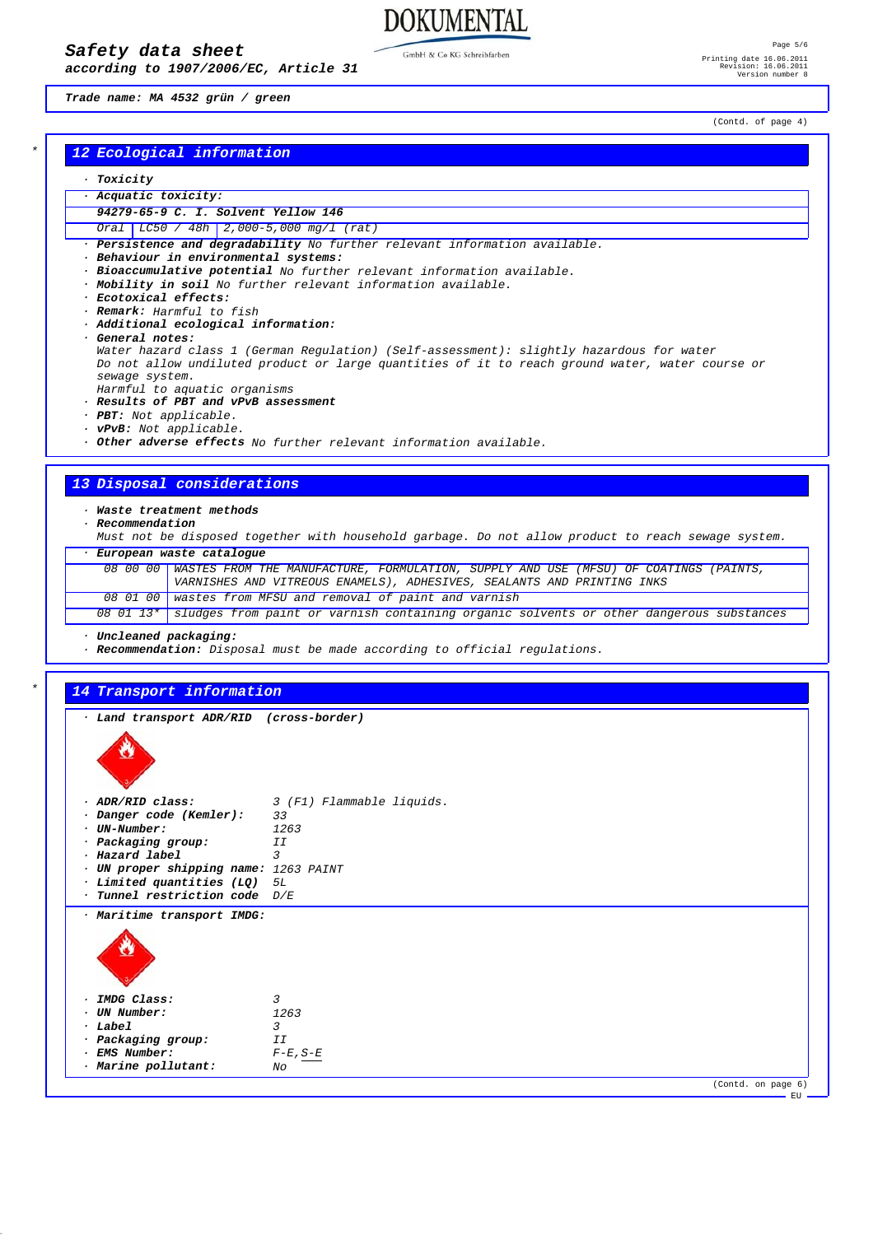*according to 1907/2006/EC, Article 31*

GmbH & Co KG Schreibfarben

**DOKUMENTAL** 

Page 5/6 Printing date 16.06.2011 Revision: 16.06.2011 Version number 8

*Trade name: MA 4532 grün / green*

# *\* 12 Ecological information*

## *· Toxicity*

- *· Acquatic toxicity:*
- *94279-65-9 C. I. Solvent Yellow 146 Oral LC50 / 48h 2,000-5,000 mg/l (rat)*
- 
- *· Persistence and degradability No further relevant information available.*
- *· Behaviour in environmental systems:*
- *· Bioaccumulative potential No further relevant information available.*
- *· Mobility in soil No further relevant information available.*
- *· Ecotoxical effects:*
- *· Remark: Harmful to fish*
- *· Additional ecological information:*
- *· General notes:*
- *Water hazard class 1 (German Regulation) (Self-assessment): slightly hazardous for water Do not allow undiluted product or large quantities of it to reach ground water, water course or sewage system.*
- *Harmful to aquatic organisms*
- *· Results of PBT and vPvB assessment*
- *· PBT: Not applicable.*
- *· vPvB: Not applicable.*
- *· Other adverse effects No further relevant information available.*

# *13 Disposal considerations*

*· Waste treatment methods*

- *· Recommendation*
- *Must not be disposed together with household garbage. Do not allow product to reach sewage system. · European waste catalogue*

| 08 00 00 WASTES FROM THE MANUFACTURE, FORMULATION, SUPPLY AND USE (MFSU) OF COATINGS (PAINTS, |
|-----------------------------------------------------------------------------------------------|
| VARNISHES AND VITREOUS ENAMELS), ADHESIVES, SEALANTS AND PRINTING INKS                        |
| $\overline{08}$ 01 00   wastes from MFSU and removal of paint and varnish                     |
|                                                                                               |

*08 01 13\* sludges from paint or varnish containing organic solvents or other dangerous substances*

*· Uncleaned packaging:*

*· Recommendation: Disposal must be made according to official regulations.*

## *\* 14 Transport information*

| · Land transport ADR/RID (cross-border) |                             |
|-----------------------------------------|-----------------------------|
|                                         |                             |
| · ADR/RID class:                        | 3 (F1) Flammable liquids.   |
| · Danger code (Kemler):                 | 33                          |
| · UN-Number:                            | 1263                        |
| · Packaging group:                      | ΙI                          |
| · Hazard label                          | 3                           |
| · UN proper shipping name: 1263 PAINT   |                             |
| · Limited quantities (LQ) 5L            |                             |
| $\cdot$ Tunnel restriction code $D/E$   |                             |
| · Maritime transport IMDG:              |                             |
|                                         |                             |
| · IMDG Class:                           | $\overline{3}$              |
| · UN Number:                            | 1263                        |
| · Label                                 | $\mathbf{3}$                |
| · Packaging group:                      | II                          |
| · EMS Number:                           | $F\text{-}E$ , $S\text{-}E$ |
| · Marine pollutant:                     | No                          |
|                                         | (Contd. on page 6)          |

(Contd. of page 4)

EU